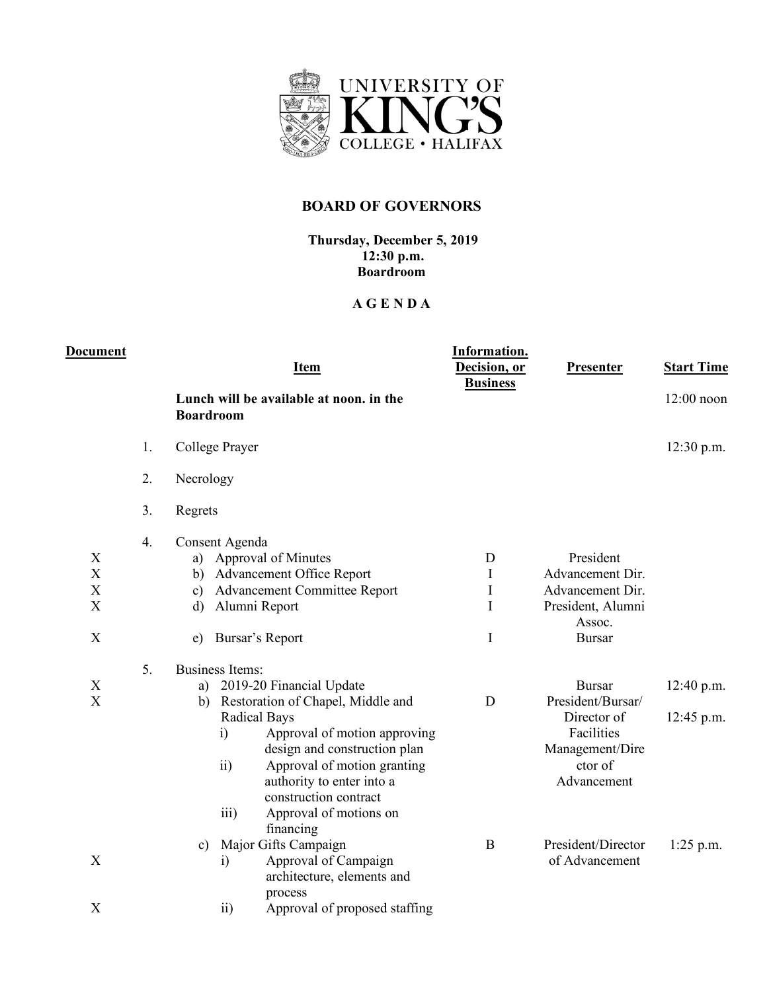

## **BOARD OF GOVERNORS**

## **Thursday, December 5, 2019 12:30 p.m. Boardroom**

## **A G E N D A**

| <b>Document</b>                 |                | <b>Item</b>                                                                                                                                                                                                                                                                                                                                                             | Information.<br>Decision, or<br><b>Business</b> | <b>Presenter</b>                                                                                             | <b>Start Time</b>          |
|---------------------------------|----------------|-------------------------------------------------------------------------------------------------------------------------------------------------------------------------------------------------------------------------------------------------------------------------------------------------------------------------------------------------------------------------|-------------------------------------------------|--------------------------------------------------------------------------------------------------------------|----------------------------|
|                                 |                | Lunch will be available at noon, in the<br><b>Boardroom</b>                                                                                                                                                                                                                                                                                                             |                                                 |                                                                                                              | $12:00$ noon               |
|                                 | 1.             | College Prayer                                                                                                                                                                                                                                                                                                                                                          |                                                 |                                                                                                              | $12:30$ p.m.               |
|                                 | 2.             | Necrology                                                                                                                                                                                                                                                                                                                                                               |                                                 |                                                                                                              |                            |
|                                 | 3.             | Regrets                                                                                                                                                                                                                                                                                                                                                                 |                                                 |                                                                                                              |                            |
| X<br>X<br>$\mathbf X$<br>X<br>X | 4.             | Consent Agenda<br>Approval of Minutes<br>a)<br><b>Advancement Office Report</b><br>b)<br><b>Advancement Committee Report</b><br>$\mathbf{c})$<br>Alumni Report<br>$\mathbf{d}$<br>Bursar's Report<br>e)                                                                                                                                                                 | D<br>I<br>$\rm I$<br>$\mathbf I$<br>Ι           | President<br>Advancement Dir.<br>Advancement Dir.<br>President, Alumni<br>Assoc.<br><b>Bursar</b>            |                            |
| $\mathbf X$<br>X                | 5 <sub>1</sub> | <b>Business Items:</b><br>2019-20 Financial Update<br>a)<br>b) Restoration of Chapel, Middle and<br><b>Radical Bays</b><br>i)<br>Approval of motion approving<br>design and construction plan<br>$\overline{ii}$<br>Approval of motion granting<br>authority to enter into a<br>construction contract<br>Approval of motions on<br>$\overline{\text{iii}}$<br>financing | D                                               | <b>Bursar</b><br>President/Bursar/<br>Director of<br>Facilities<br>Management/Dire<br>ctor of<br>Advancement | 12:40 p.m.<br>$12:45$ p.m. |
| X<br>X                          |                | Major Gifts Campaign<br>c)<br>Approval of Campaign<br>$\mathbf{i}$<br>architecture, elements and<br>process<br>Approval of proposed staffing<br>$\overline{ii}$                                                                                                                                                                                                         | B                                               | President/Director<br>of Advancement                                                                         | $1:25$ p.m.                |